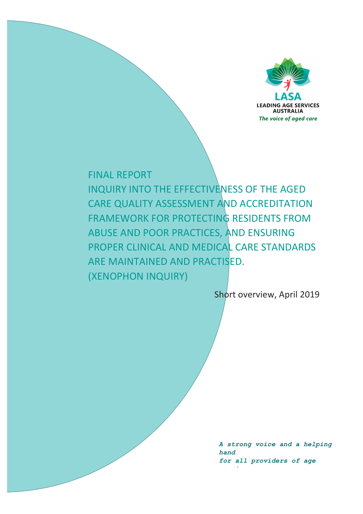

# **FINAL REPORT**

INQUIRY INTO THE EFFECTIVENESS OF THE AGED CARE QUALITY ASSESSMENT AND ACCREDITATION FRAMEWORK FOR PROTECTING RESIDENTS FROM ABUSE AND POOR PRACTICES, AND ENSURING PROPER CLINICAL AND MEDICAL CARE STANDARDS ARE MAINTAINED AND PRACTISED. (**XENOPHON INQUIRY**)

Short overview, April 2019

*A strong voice and a helping hand for all providers of age* 

*services*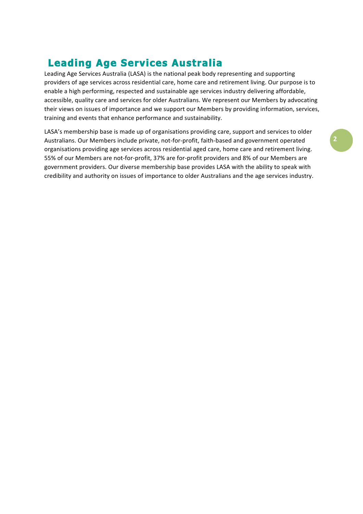# **Leading Age Services Australia**

Leading Age Services Australia (LASA) is the national peak body representing and supporting providers of age services across residential care, home care and retirement living. Our purpose is to enable a high performing, respected and sustainable age services industry delivering affordable, accessible, quality care and services for older Australians. We represent our Members by advocating their views on issues of importance and we support our Members by providing information, services, training and events that enhance performance and sustainability.

LASA's membership base is made up of organisations providing care, support and services to older Australians. Our Members include private, not-for-profit, faith-based and government operated organisations providing age services across residential aged care, home care and retirement living. 55% of our Members are not-for-profit, 37% are for-profit providers and 8% of our Members are government providers. Our diverse membership base provides LASA with the ability to speak with credibility and authority on issues of importance to older Australians and the age services industry.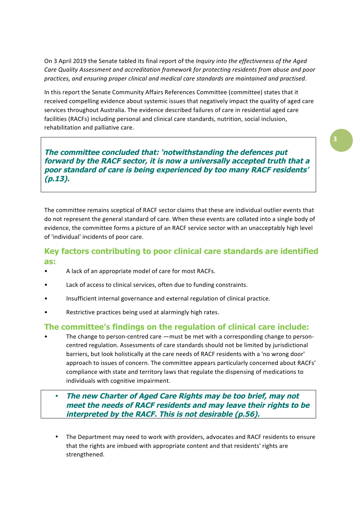On 3 April 2019 the Senate tabled its final report of the *Inquiry into the effectiveness of the Aged* Care Quality Assessment and accreditation framework for protecting residents from abuse and poor *practices, and ensuring proper clinical and medical care standards are maintained and practised*.

In this report the Senate Community Affairs References Committee (committee) states that it received compelling evidence about systemic issues that negatively impact the quality of aged care services throughout Australia. The evidence described failures of care in residential aged care facilities (RACFs) including personal and clinical care standards, nutrition, social inclusion, rehabilitation and palliative care.

**The committee concluded that: 'notwithstanding the defences put forward by the RACF sector, it is now a universally accepted truth that a poor standard of care is being experienced by too many RACF residents' (p.13).**

The committee remains sceptical of RACF sector claims that these are individual outlier events that do not represent the general standard of care. When these events are collated into a single body of evidence, the committee forms a picture of an RACF service sector with an unacceptably high level of 'individual' incidents of poor care.

# **Key factors contributing to poor clinical care standards are identified as:**

- A lack of an appropriate model of care for most RACFs.
- Lack of access to clinical services, often due to funding constraints.
- Insufficient internal governance and external regulation of clinical practice.
- Restrictive practices being used at alarmingly high rates.

# **The committee's findings on the regulation of clinical care include:**

The change to person-centred care  $-\text{must}$  be met with a corresponding change to personcentred regulation. Assessments of care standards should not be limited by jurisdictional barriers, but look holistically at the care needs of RACF residents with a 'no wrong door' approach to issues of concern. The committee appears particularly concerned about RACFs' compliance with state and territory laws that regulate the dispensing of medications to individuals with cognitive impairment.

## • **The new Charter of Aged Care Rights may be too brief, may not meet the needs of RACF residents and may leave their rights to be interpreted by the RACF. This is not desirable (p.56).**

The Department may need to work with providers, advocates and RACF residents to ensure that the rights are imbued with appropriate content and that residents' rights are strengthened.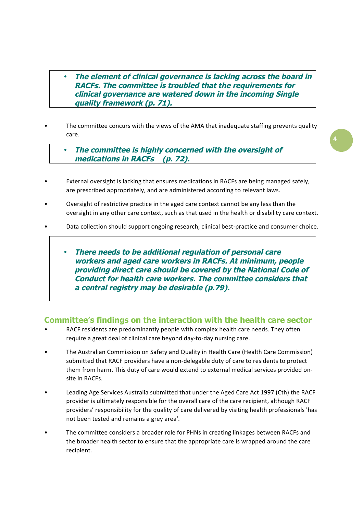• **The element of clinical governance is lacking across the board in RACFs. The committee is troubled that the requirements for clinical governance are watered down in the incoming Single quality framework (p. 71).**

- The committee concurs with the views of the AMA that inadequate staffing prevents quality care.
	- **The committee is highly concerned with the oversight of medications in RACFs (p. 72).**
- External oversight is lacking that ensures medications in RACFs are being managed safely, are prescribed appropriately, and are administered according to relevant laws.
- Oversight of restrictive practice in the aged care context cannot be any less than the oversight in any other care context, such as that used in the health or disability care context.
- Data collection should support ongoing research, clinical best-practice and consumer choice.
	- **There needs to be additional regulation of personal care workers and aged care workers in RACFs. At minimum, people providing direct care should be covered by the National Code of Conduct for health care workers. The committee considers that a central registry may be desirable (p.79).**

#### **Committee's findings on the interaction with the health care sector**

- RACF residents are predominantly people with complex health care needs. They often require a great deal of clinical care beyond day-to-day nursing care.
- The Australian Commission on Safety and Quality in Health Care (Health Care Commission) submitted that RACF providers have a non-delegable duty of care to residents to protect them from harm. This duty of care would extend to external medical services provided onsite in RACFs.
- Leading Age Services Australia submitted that under the Aged Care Act 1997 (Cth) the RACF provider is ultimately responsible for the overall care of the care recipient, although RACF providers' responsibility for the quality of care delivered by visiting health professionals 'has not been tested and remains a grey area'.
- The committee considers a broader role for PHNs in creating linkages between RACFs and the broader health sector to ensure that the appropriate care is wrapped around the care recipient.

**4**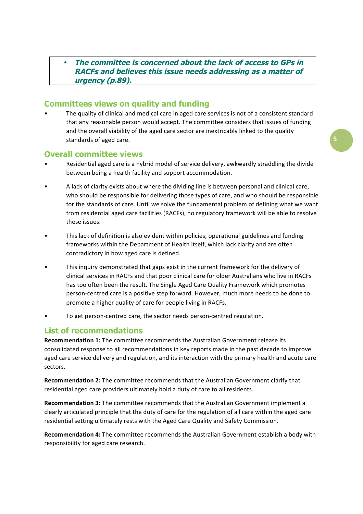#### • **The committee is concerned about the lack of access to GPs in RACFs and believes this issue needs addressing as a matter of urgency (p.89).**

## **Committees views on quality and funding**

The quality of clinical and medical care in aged care services is not of a consistent standard that any reasonable person would accept. The committee considers that issues of funding and the overall viability of the aged care sector are inextricably linked to the quality standards of aged care.

#### **Overall committee views**

- Residential aged care is a hybrid model of service delivery, awkwardly straddling the divide between being a health facility and support accommodation.
- A lack of clarity exists about where the dividing line is between personal and clinical care, who should be responsible for delivering those types of care, and who should be responsible for the standards of care. Until we solve the fundamental problem of defining what we want from residential aged care facilities (RACFs), no regulatory framework will be able to resolve these issues.
- This lack of definition is also evident within policies, operational guidelines and funding frameworks within the Department of Health itself, which lack clarity and are often contradictory in how aged care is defined.
- This inquiry demonstrated that gaps exist in the current framework for the delivery of clinical services in RACFs and that poor clinical care for older Australians who live in RACFs has too often been the result. The Single Aged Care Quality Framework which promotes person-centred care is a positive step forward. However, much more needs to be done to promote a higher quality of care for people living in RACFs.
- To get person-centred care, the sector needs person-centred regulation.

#### **List of recommendations**

**Recommendation 1:** The committee recommends the Australian Government release its consolidated response to all recommendations in key reports made in the past decade to improve aged care service delivery and regulation, and its interaction with the primary health and acute care sectors.

**Recommendation 2:** The committee recommends that the Australian Government clarify that residential aged care providers ultimately hold a duty of care to all residents.

**Recommendation 3:** The committee recommends that the Australian Government implement a clearly articulated principle that the duty of care for the regulation of all care within the aged care residential setting ultimately rests with the Aged Care Quality and Safety Commission.

**Recommendation 4:** The committee recommends the Australian Government establish a body with responsibility for aged care research.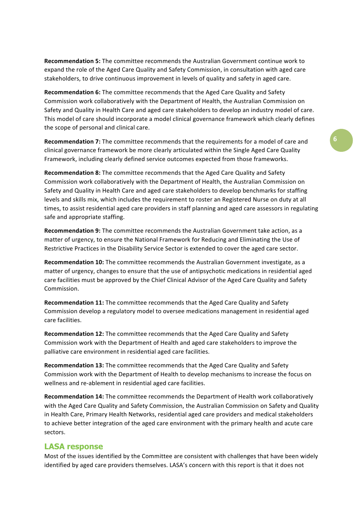**Recommendation 5:** The committee recommends the Australian Government continue work to expand the role of the Aged Care Quality and Safety Commission, in consultation with aged care stakeholders, to drive continuous improvement in levels of quality and safety in aged care.

**Recommendation 6:** The committee recommends that the Aged Care Quality and Safety Commission work collaboratively with the Department of Health, the Australian Commission on Safety and Quality in Health Care and aged care stakeholders to develop an industry model of care. This model of care should incorporate a model clinical governance framework which clearly defines the scope of personal and clinical care.

**Recommendation 7:** The committee recommends that the requirements for a model of care and clinical governance framework be more clearly articulated within the Single Aged Care Quality Framework, including clearly defined service outcomes expected from those frameworks.

**Recommendation 8:** The committee recommends that the Aged Care Quality and Safety Commission work collaboratively with the Department of Health, the Australian Commission on Safety and Quality in Health Care and aged care stakeholders to develop benchmarks for staffing levels and skills mix, which includes the requirement to roster an Registered Nurse on duty at all times, to assist residential aged care providers in staff planning and aged care assessors in regulating safe and appropriate staffing.

**Recommendation 9:** The committee recommends the Australian Government take action, as a matter of urgency, to ensure the National Framework for Reducing and Eliminating the Use of Restrictive Practices in the Disability Service Sector is extended to cover the aged care sector.

**Recommendation 10:** The committee recommends the Australian Government investigate, as a matter of urgency, changes to ensure that the use of antipsychotic medications in residential aged care facilities must be approved by the Chief Clinical Advisor of the Aged Care Quality and Safety Commission.

**Recommendation 11:** The committee recommends that the Aged Care Quality and Safety Commission develop a regulatory model to oversee medications management in residential aged care facilities.

**Recommendation 12:** The committee recommends that the Aged Care Quality and Safety Commission work with the Department of Health and aged care stakeholders to improve the palliative care environment in residential aged care facilities.

**Recommendation 13:** The committee recommends that the Aged Care Quality and Safety Commission work with the Department of Health to develop mechanisms to increase the focus on wellness and re-ablement in residential aged care facilities.

**Recommendation 14:** The committee recommends the Department of Health work collaboratively with the Aged Care Quality and Safety Commission, the Australian Commission on Safety and Quality in Health Care, Primary Health Networks, residential aged care providers and medical stakeholders to achieve better integration of the aged care environment with the primary health and acute care sectors.

#### **LASA response**

Most of the issues identified by the Committee are consistent with challenges that have been widely identified by aged care providers themselves. LASA's concern with this report is that it does not